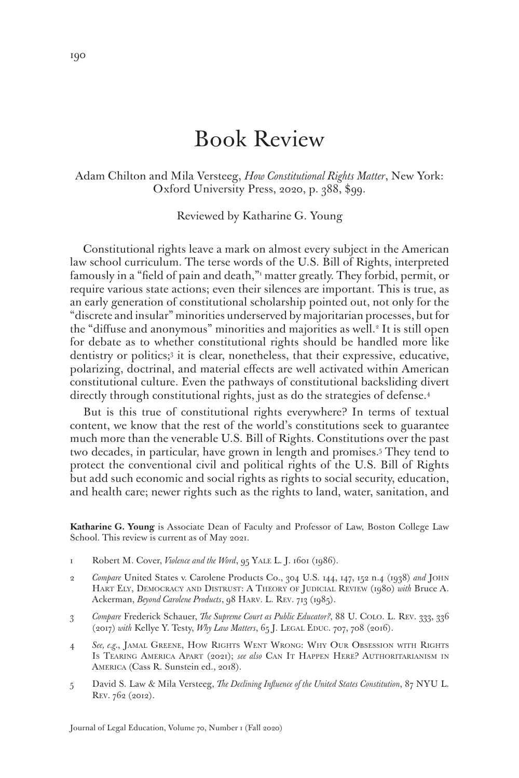# Book Review

Adam Chilton and Mila Versteeg, *How Constitutional Rights Matter*, New York: Oxford University Press, 2020, p. 388, \$99.

Reviewed by Katharine G. Young

Constitutional rights leave a mark on almost every subject in the American law school curriculum. The terse words of the U.S. Bill of Rights, interpreted famously in a "field of pain and death,"1 matter greatly. They forbid, permit, or require various state actions; even their silences are important. This is true, as an early generation of constitutional scholarship pointed out, not only for the "discrete and insular" minorities underserved by majoritarian processes, but for the "diffuse and anonymous" minorities and majorities as well.<sup>2</sup> It is still open for debate as to whether constitutional rights should be handled more like dentistry or politics;<sup>3</sup> it is clear, nonetheless, that their expressive, educative, polarizing, doctrinal, and material effects are well activated within American constitutional culture. Even the pathways of constitutional backsliding divert directly through constitutional rights, just as do the strategies of defense.<sup>4</sup>

But is this true of constitutional rights everywhere? In terms of textual content, we know that the rest of the world's constitutions seek to guarantee much more than the venerable U.S. Bill of Rights. Constitutions over the past two decades, in particular, have grown in length and promises.5 They tend to protect the conventional civil and political rights of the U.S. Bill of Rights but add such economic and social rights as rights to social security, education, and health care; newer rights such as the rights to land, water, sanitation, and

**Katharine G. Young** is Associate Dean of Faculty and Professor of Law, Boston College Law School. This review is current as of May 2021.

- 1 Robert M. Cover, *Violence and the Word*, 95 Yale L. J. 1601 (1986).
- 2 *Compare* United States v. Carolene Products Co., 304 U.S. 144, 147, 152 n.4 (1938) *and* John Hart Ely, Democracy and Distrust: A Theory of Judicial Review (1980) *with* Bruce A. Ackerman, *Beyond Carolene Products*, 98 Harv. L. Rev. 713 (1985).
- 3 *Compare* Frederick Schauer, *The Supreme Court as Public Educator?*, 88 U. Colo. L. Rev. 333, 336 (2017) *with* Kellye Y. Testy, *Why Law Matters*, 65 J. Legal Educ. 707, 708 (2016).
- 4 *See, e.g.*, Jamal Greene, How Rights Went Wrong: Why Our Obsession with Rights Is Tearing America Apart (2021); *see also* Can It Happen Here? Authoritarianism in America (Cass R. Sunstein ed., 2018).
- 5 David S. Law & Mila Versteeg, *The Declining Influence of the United States Constitution*, 87 NYU L. Rev. 762 (2012).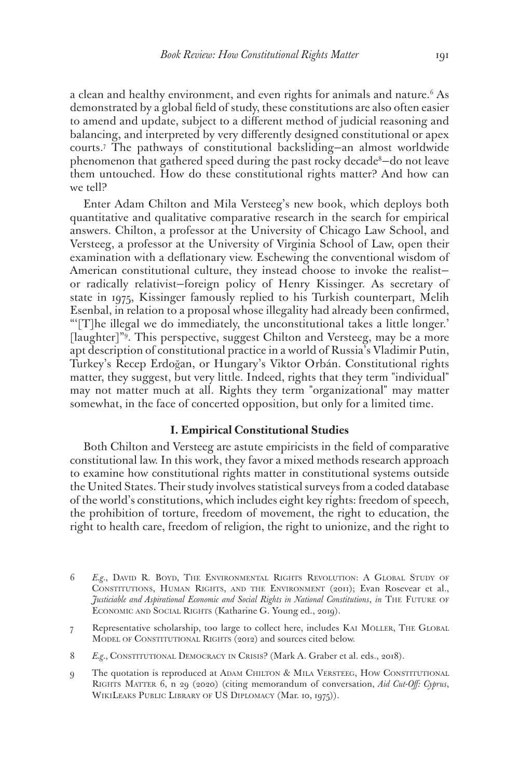a clean and healthy environment, and even rights for animals and nature.<sup>6</sup> As demonstrated by a global field of study, these constitutions are also often easier to amend and update, subject to a different method of judicial reasoning and balancing, and interpreted by very differently designed constitutional or apex courts.7 The pathways of constitutional backsliding—an almost worldwide phenomenon that gathered speed during the past rocky decade<sup>8</sup>–do not leave them untouched. How do these constitutional rights matter? And how can we tell?

Enter Adam Chilton and Mila Versteeg's new book, which deploys both quantitative and qualitative comparative research in the search for empirical answers. Chilton, a professor at the University of Chicago Law School, and Versteeg, a professor at the University of Virginia School of Law, open their examination with a deflationary view. Eschewing the conventional wisdom of American constitutional culture, they instead choose to invoke the realist or radically relativist—foreign policy of Henry Kissinger. As secretary of state in 1975, Kissinger famously replied to his Turkish counterpart, Melih Esenbal, in relation to a proposal whose illegality had already been confirmed, "'[T]he illegal we do immediately, the unconstitutional takes a little longer.' [laughter]"9 . This perspective, suggest Chilton and Versteeg, may be a more apt description of constitutional practice in a world of Russia's Vladimir Putin, Turkey's Recep Erdoğan, or Hungary's Viktor Orbán. Constitutional rights matter, they suggest, but very little. Indeed, rights that they term "individual" may not matter much at all. Rights they term "organizational" may matter somewhat, in the face of concerted opposition, but only for a limited time.

#### **I. Empirical Constitutional Studies**

Both Chilton and Versteeg are astute empiricists in the field of comparative constitutional law. In this work, they favor a mixed methods research approach to examine how constitutional rights matter in constitutional systems outside the United States. Their study involves statistical surveys from a coded database of the world's constitutions, which includes eight key rights: freedom of speech, the prohibition of torture, freedom of movement, the right to education, the right to health care, freedom of religion, the right to unionize, and the right to

- 6 *E.g.*, David R. Boyd, The Environmental Rights Revolution: A Global Study of Constitutions, Human Rights, and the Environment (2011); Evan Rosevear et al., *Justiciable and Aspirational Economic and Social Rights in National Constitutions*, *in* The Future of Economic and Social Rights (Katharine G. Young ed., 2019).
- 7 Representative scholarship, too large to collect here, includes Kai Möller, The Global MODEL OF CONSTITUTIONAL RIGHTS (2012) and sources cited below.
- 8 E.g., CONSTITUTIONAL DEMOCRACY IN CRISIS? (Mark A. Graber et al. eds., 2018).
- 9 The quotation is reproduced at ADAM CHILTON & MILA VERSTEEG, HOW CONSTITUTIONAL Rights Matter 6, n 29 (2020) (citing memorandum of conversation, *Aid Cut-Off: Cyprus*, WikiLeaks Public Library of US Diplomacy (Mar. 10, 1975)).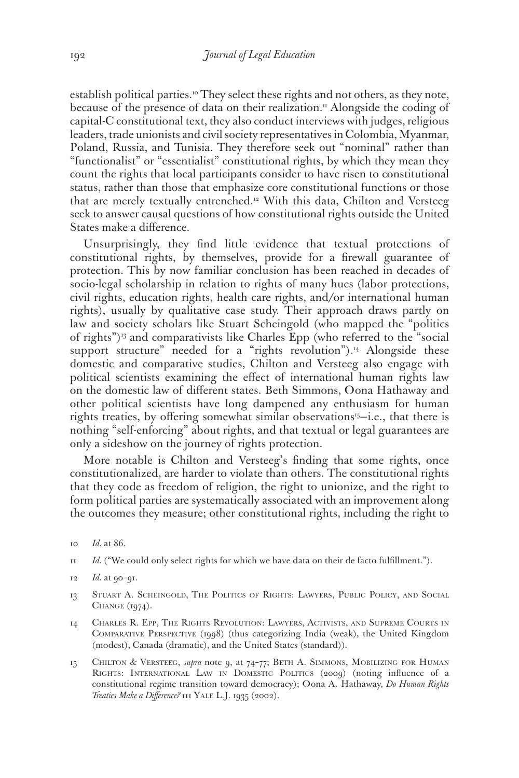establish political parties.10 They select these rights and not others, as they note, because of the presence of data on their realization.<sup>11</sup> Alongside the coding of capital-C constitutional text, they also conduct interviews with judges, religious leaders, trade unionists and civil society representatives in Colombia, Myanmar, Poland, Russia, and Tunisia. They therefore seek out "nominal" rather than "functionalist" or "essentialist" constitutional rights, by which they mean they count the rights that local participants consider to have risen to constitutional status, rather than those that emphasize core constitutional functions or those that are merely textually entrenched.<sup>12</sup> With this data, Chilton and Versteeg seek to answer causal questions of how constitutional rights outside the United States make a difference.

Unsurprisingly, they find little evidence that textual protections of constitutional rights, by themselves, provide for a firewall guarantee of protection. This by now familiar conclusion has been reached in decades of socio-legal scholarship in relation to rights of many hues (labor protections, civil rights, education rights, health care rights, and/or international human rights), usually by qualitative case study. Their approach draws partly on law and society scholars like Stuart Scheingold (who mapped the "politics of rights")<sup>13</sup> and comparativists like Charles Epp (who referred to the "social support structure" needed for a "rights revolution").<sup>14</sup> Alongside these domestic and comparative studies, Chilton and Versteeg also engage with political scientists examining the effect of international human rights law on the domestic law of different states. Beth Simmons, Oona Hathaway and other political scientists have long dampened any enthusiasm for human rights treaties, by offering somewhat similar observations<sup>15</sup>-i.e., that there is nothing "self-enforcing" about rights, and that textual or legal guarantees are only a sideshow on the journey of rights protection.

More notable is Chilton and Versteeg's finding that some rights, once constitutionalized, are harder to violate than others. The constitutional rights that they code as freedom of religion, the right to unionize, and the right to form political parties are systematically associated with an improvement along the outcomes they measure; other constitutional rights, including the right to

- 11 *Id.* ("We could only select rights for which we have data on their de facto fulfillment.").
- 12 *Id.* at 90–91.
- 13 Stuart A. Scheingold, The Politics of Rights: Lawyers, Public Policy, and Social CHANGE (1974).
- 14 Charles R. Epp, The Rights Revolution: Lawyers, Activists, and Supreme Courts in Comparative Perspective (1998) (thus categorizing India (weak), the United Kingdom (modest), Canada (dramatic), and the United States (standard)).
- 15 Chilton & Versteeg, *supra* note 9, at 74–77; Beth A. Simmons, Mobilizing for Human Rights: International Law in Domestic Politics (2009) (noting influence of a constitutional regime transition toward democracy); Oona A. Hathaway, *Do Human Rights Treaties Make a Difference?* 111 Yale L.J. 1935 (2002).

<sup>10</sup> *Id.* at 86.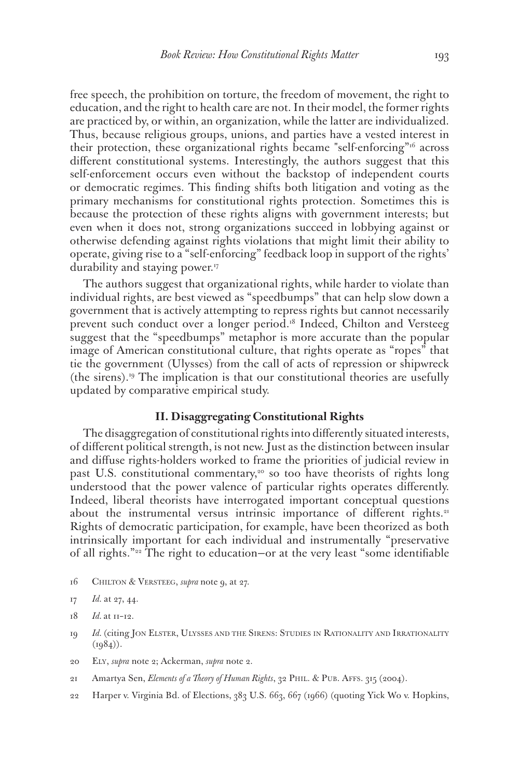free speech, the prohibition on torture, the freedom of movement, the right to education, and the right to health care are not. In their model, the former rights are practiced by, or within, an organization, while the latter are individualized. Thus, because religious groups, unions, and parties have a vested interest in their protection, these organizational rights became "self-enforcing"<sup>16</sup> across different constitutional systems. Interestingly, the authors suggest that this self-enforcement occurs even without the backstop of independent courts or democratic regimes. This finding shifts both litigation and voting as the primary mechanisms for constitutional rights protection. Sometimes this is because the protection of these rights aligns with government interests; but even when it does not, strong organizations succeed in lobbying against or otherwise defending against rights violations that might limit their ability to operate, giving rise to a "self-enforcing" feedback loop in support of the rights' durability and staying power.17

The authors suggest that organizational rights, while harder to violate than individual rights, are best viewed as "speedbumps" that can help slow down a government that is actively attempting to repress rights but cannot necessarily prevent such conduct over a longer period.<sup>18</sup> Indeed, Chilton and Versteeg suggest that the "speedbumps" metaphor is more accurate than the popular image of American constitutional culture, that rights operate as "ropes" that tie the government (Ulysses) from the call of acts of repression or shipwreck (the sirens).19 The implication is that our constitutional theories are usefully updated by comparative empirical study.

# **II. Disaggregating Constitutional Rights**

The disaggregation of constitutional rights into differently situated interests, of different political strength, is not new. Just as the distinction between insular and diffuse rights-holders worked to frame the priorities of judicial review in past U.S. constitutional commentary,<sup>20</sup> so too have theorists of rights long understood that the power valence of particular rights operates differently. Indeed, liberal theorists have interrogated important conceptual questions about the instrumental versus intrinsic importance of different rights.<sup>21</sup> Rights of democratic participation, for example, have been theorized as both intrinsically important for each individual and instrumentally "preservative of all rights."22 The right to education—or at the very least "some identifiable

16 Chilton & Versteeg, *supra* note 9, at 27.

- 18 *Id.* at 11–12.
- 19 *Id.* (citing Jon Elster, Ulysses and the Sirens: Studies in Rationality and Irrationality  $(1984)$ .
- 20 Ely, *supra* note 2; Ackerman, *supra* note 2.
- 21 Amartya Sen, *Elements of a Theory of Human Rights*, 32 Phil. & Pub. Affs. 315 (2004).
- 22 Harper v. Virginia Bd. of Elections, 383 U.S. 663, 667 (1966) (quoting Yick Wo v. Hopkins,

<sup>17</sup> *Id.* at 27, 44.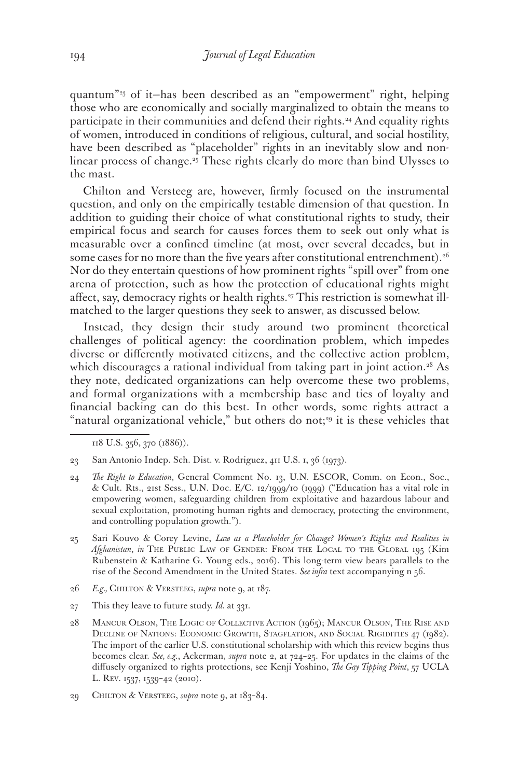quantum"23 of it—has been described as an "empowerment" right, helping those who are economically and socially marginalized to obtain the means to participate in their communities and defend their rights.<sup>24</sup> And equality rights of women, introduced in conditions of religious, cultural, and social hostility, have been described as "placeholder" rights in an inevitably slow and nonlinear process of change.<sup>25</sup> These rights clearly do more than bind Ulysses to the mast.

Chilton and Versteeg are, however, firmly focused on the instrumental question, and only on the empirically testable dimension of that question. In addition to guiding their choice of what constitutional rights to study, their empirical focus and search for causes forces them to seek out only what is measurable over a confined timeline (at most, over several decades, but in some cases for no more than the five years after constitutional entrenchment).<sup>26</sup> Nor do they entertain questions of how prominent rights "spill over" from one arena of protection, such as how the protection of educational rights might affect, say, democracy rights or health rights.27 This restriction is somewhat illmatched to the larger questions they seek to answer, as discussed below.

Instead, they design their study around two prominent theoretical challenges of political agency: the coordination problem, which impedes diverse or differently motivated citizens, and the collective action problem, which discourages a rational individual from taking part in joint action.<sup>28</sup> As they note, dedicated organizations can help overcome these two problems, and formal organizations with a membership base and ties of loyalty and financial backing can do this best. In other words, some rights attract a "natural organizational vehicle," but others do not;<sup>29</sup> it is these vehicles that

118 U.S. 356, 370 (1886)).

- 24 *The Right to Education*, General Comment No. 13, U.N. ESCOR, Comm. on Econ., Soc., & Cult. Rts., 21st Sess., U.N. Doc. E/C. 12/1999/10 (1999) ("Education has a vital role in empowering women, safeguarding children from exploitative and hazardous labour and sexual exploitation, promoting human rights and democracy, protecting the environment, and controlling population growth.").
- 25 Sari Kouvo & Corey Levine, *Law as a Placeholder for Change? Women's Rights and Realities in*  Afghanistan, in THE PUBLIC LAW OF GENDER: FROM THE LOCAL TO THE GLOBAL 195 (Kim Rubenstein & Katharine G. Young eds., 2016). This long-term view bears parallels to the rise of the Second Amendment in the United States. *See infra* text accompanying n 56.
- 26 *E.g.,* Chilton & Versteeg, *supra* note 9, at 187.
- 27 This they leave to future study. *Id.* at 331.
- 28 Mancur Olson, The Logic of Collective Action (1965); Mancur Olson, The Rise and DECLINE OF NATIONS: ECONOMIC GROWTH, STAGFLATION, AND SOCIAL RIGIDITIES 47 (1982). The import of the earlier U.S. constitutional scholarship with which this review begins thus becomes clear. *See, e.g.*, Ackerman, *supra* note 2, at 724–25. For updates in the claims of the diffusely organized to rights protections, see Kenji Yoshino, *The Gay Tipping Point*, 57 UCLA L. Rev. 1537, 1539–42 (2010).
- 29 Chilton & Versteeg, *supra* note 9, at 183–84.

<sup>23</sup> San Antonio Indep. Sch. Dist. v. Rodriguez, 411 U.S. 1, 36 (1973).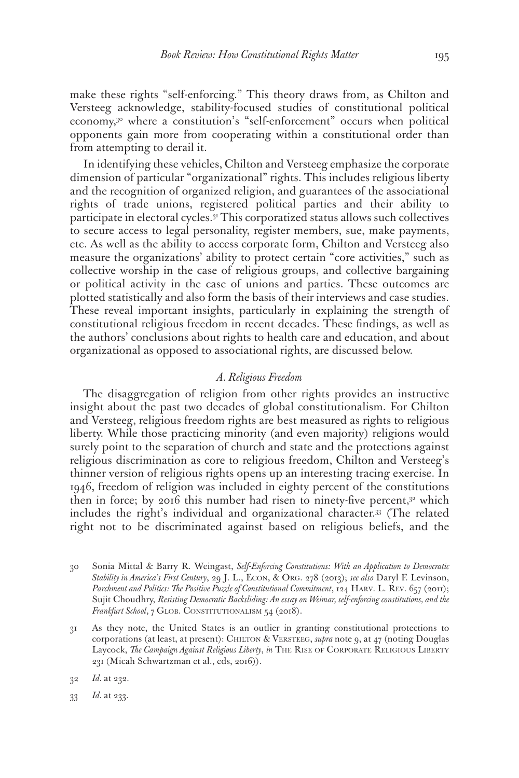make these rights "self-enforcing." This theory draws from, as Chilton and Versteeg acknowledge, stability-focused studies of constitutional political economy,<sup>30</sup> where a constitution's "self-enforcement" occurs when political opponents gain more from cooperating within a constitutional order than from attempting to derail it.

In identifying these vehicles, Chilton and Versteeg emphasize the corporate dimension of particular "organizational" rights. This includes religious liberty and the recognition of organized religion, and guarantees of the associational rights of trade unions, registered political parties and their ability to participate in electoral cycles.31 This corporatized status allows such collectives to secure access to legal personality, register members, sue, make payments, etc. As well as the ability to access corporate form, Chilton and Versteeg also measure the organizations' ability to protect certain "core activities," such as collective worship in the case of religious groups, and collective bargaining or political activity in the case of unions and parties. These outcomes are plotted statistically and also form the basis of their interviews and case studies. These reveal important insights, particularly in explaining the strength of constitutional religious freedom in recent decades. These findings, as well as the authors' conclusions about rights to health care and education, and about organizational as opposed to associational rights, are discussed below.

### *A. Religious Freedom*

The disaggregation of religion from other rights provides an instructive insight about the past two decades of global constitutionalism. For Chilton and Versteeg, religious freedom rights are best measured as rights to religious liberty. While those practicing minority (and even majority) religions would surely point to the separation of church and state and the protections against religious discrimination as core to religious freedom, Chilton and Versteeg's thinner version of religious rights opens up an interesting tracing exercise. In 1946, freedom of religion was included in eighty percent of the constitutions then in force; by 2016 this number had risen to ninety-five percent,<sup>32</sup> which includes the right's individual and organizational character.33 (The related right not to be discriminated against based on religious beliefs, and the

31 As they note, the United States is an outlier in granting constitutional protections to corporations (at least, at present): CHILTON & VERSTEEG, *supra* note 9, at 47 (noting Douglas Laycock, *The Campaign Against Religious Liberty*, *in* THE RISE OF CORPORATE RELIGIOUS LIBERTY 231 (Micah Schwartzman et al., eds, 2016)).

32 *Id.* at 232.

33 *Id.* at 233.

<sup>30</sup> Sonia Mittal & Barry R. Weingast, *Self-Enforcing Constitutions: With an Application to Democratic Stability in America's First Century*, 29 J. L., Econ, & Org. 278 (2013); *see also* Daryl F. Levinson, *Parchment and Politics: The Positive Puzzle of Constitutional Commitment*, 124 Harv. L. Rev. 657 (2011); Sujit Choudhry, *Resisting Democratic Backsliding: An essay on Weimar, self-enforcing constitutions, and the*  Frankfurt School, 7 GLOB. CONSTITUTIONALISM 54 (2018).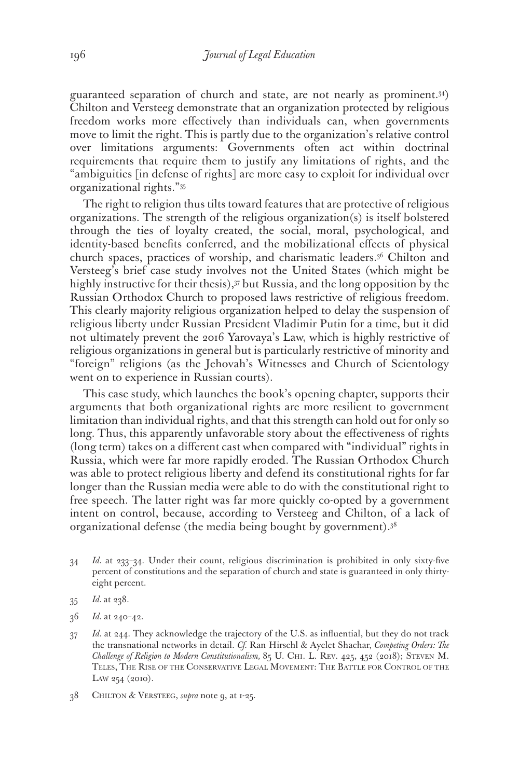guaranteed separation of church and state, are not nearly as prominent.34) Chilton and Versteeg demonstrate that an organization protected by religious freedom works more effectively than individuals can, when governments move to limit the right. This is partly due to the organization's relative control over limitations arguments: Governments often act within doctrinal requirements that require them to justify any limitations of rights, and the "ambiguities [in defense of rights] are more easy to exploit for individual over organizational rights."35

The right to religion thus tilts toward features that are protective of religious organizations. The strength of the religious organization(s) is itself bolstered through the ties of loyalty created, the social, moral, psychological, and identity-based benefits conferred, and the mobilizational effects of physical church spaces, practices of worship, and charismatic leaders.36 Chilton and Versteeg's brief case study involves not the United States (which might be highly instructive for their thesis),<sup>37</sup> but Russia, and the long opposition by the Russian Orthodox Church to proposed laws restrictive of religious freedom. This clearly majority religious organization helped to delay the suspension of religious liberty under Russian President Vladimir Putin for a time, but it did not ultimately prevent the 2016 Yarovaya's Law, which is highly restrictive of religious organizations in general but is particularly restrictive of minority and "foreign" religions (as the Jehovah's Witnesses and Church of Scientology went on to experience in Russian courts).

This case study, which launches the book's opening chapter, supports their arguments that both organizational rights are more resilient to government limitation than individual rights, and that this strength can hold out for only so long. Thus, this apparently unfavorable story about the effectiveness of rights (long term) takes on a different cast when compared with "individual" rights in Russia, which were far more rapidly eroded. The Russian Orthodox Church was able to protect religious liberty and defend its constitutional rights for far longer than the Russian media were able to do with the constitutional right to free speech. The latter right was far more quickly co-opted by a government intent on control, because, according to Versteeg and Chilton, of a lack of organizational defense (the media being bought by government).38

- 34 *Id.* at 233–34. Under their count, religious discrimination is prohibited in only sixty-five percent of constitutions and the separation of church and state is guaranteed in only thirtyeight percent.
- 35 *Id.* at 238.
- 36 *Id.* at 240–42.
- 37 *Id.* at 244. They acknowledge the trajectory of the U.S. as influential, but they do not track the transnational networks in detail. *Cf.* Ran Hirschl & Ayelet Shachar, *Competing Orders: The Challenge of Religion to Modern Constitutionalism,* 85 U. Chi. L. Rev. 425, 452 (2018); Steven M. Teles, The Rise of the Conservative Legal Movement: The Battle for Control of the Law 254 (2010).
- 38 Chilton & Versteeg, *supra* note 9, at 1-25.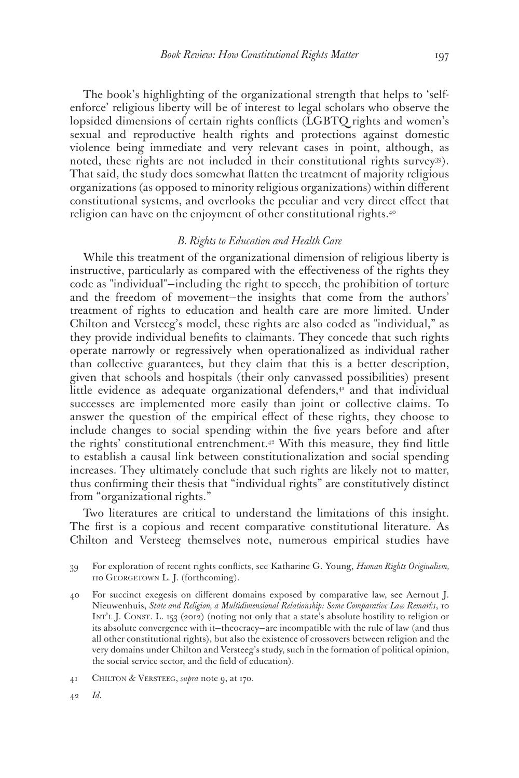The book's highlighting of the organizational strength that helps to 'selfenforce' religious liberty will be of interest to legal scholars who observe the lopsided dimensions of certain rights conflicts (LGBTQ rights and women's sexual and reproductive health rights and protections against domestic violence being immediate and very relevant cases in point, although, as noted, these rights are not included in their constitutional rights survey39). That said, the study does somewhat flatten the treatment of majority religious organizations (as opposed to minority religious organizations) within different constitutional systems, and overlooks the peculiar and very direct effect that religion can have on the enjoyment of other constitutional rights.<sup>40</sup>

#### *B. Rights to Education and Health Care*

While this treatment of the organizational dimension of religious liberty is instructive, particularly as compared with the effectiveness of the rights they code as "individual"—including the right to speech, the prohibition of torture and the freedom of movement—the insights that come from the authors' treatment of rights to education and health care are more limited. Under Chilton and Versteeg's model, these rights are also coded as "individual," as they provide individual benefits to claimants. They concede that such rights operate narrowly or regressively when operationalized as individual rather than collective guarantees, but they claim that this is a better description, given that schools and hospitals (their only canvassed possibilities) present little evidence as adequate organizational defenders, $4$  and that individual successes are implemented more easily than joint or collective claims. To answer the question of the empirical effect of these rights, they choose to include changes to social spending within the five years before and after the rights' constitutional entrenchment.42 With this measure, they find little to establish a causal link between constitutionalization and social spending increases. They ultimately conclude that such rights are likely not to matter, thus confirming their thesis that "individual rights" are constitutively distinct from "organizational rights."

Two literatures are critical to understand the limitations of this insight. The first is a copious and recent comparative constitutional literature. As Chilton and Versteeg themselves note, numerous empirical studies have

39 For exploration of recent rights conflicts, see Katharine G. Young, *Human Rights Originalism,* 110 Georgetown L. J. (forthcoming).

40 For succinct exegesis on different domains exposed by comparative law, see Aernout J. Nieuwenhuis, *State and Religion, a Multidimensional Relationship: Some Comparative Law Remarks*, 10 INT'L J. CONST. L. 153 (2012) (noting not only that a state's absolute hostility to religion or its absolute convergence with it—theocracy—are incompatible with the rule of law (and thus all other constitutional rights), but also the existence of crossovers between religion and the very domains under Chilton and Versteeg's study, such in the formation of political opinion, the social service sector, and the field of education).

<sup>41</sup> Chilton & Versteeg, *supra* note 9, at 170.

<sup>42</sup> *Id.*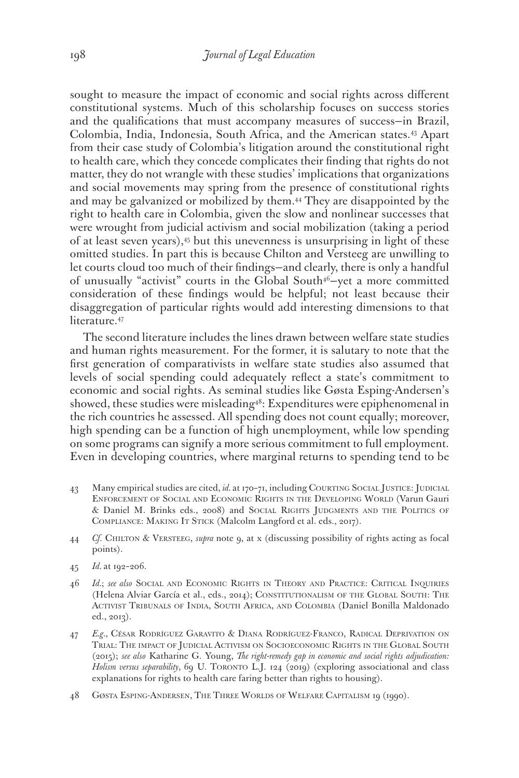sought to measure the impact of economic and social rights across different constitutional systems. Much of this scholarship focuses on success stories and the qualifications that must accompany measures of success—in Brazil, Colombia, India, Indonesia, South Africa, and the American states.43 Apart from their case study of Colombia's litigation around the constitutional right to health care, which they concede complicates their finding that rights do not matter, they do not wrangle with these studies' implications that organizations and social movements may spring from the presence of constitutional rights and may be galvanized or mobilized by them.44 They are disappointed by the right to health care in Colombia, given the slow and nonlinear successes that were wrought from judicial activism and social mobilization (taking a period of at least seven years),45 but this unevenness is unsurprising in light of these omitted studies. In part this is because Chilton and Versteeg are unwilling to let courts cloud too much of their findings—and clearly, there is only a handful of unusually "activist" courts in the Global South<sup>46</sup>-yet a more committed consideration of these findings would be helpful; not least because their disaggregation of particular rights would add interesting dimensions to that literature.<sup>47</sup>

The second literature includes the lines drawn between welfare state studies and human rights measurement. For the former, it is salutary to note that the first generation of comparativists in welfare state studies also assumed that levels of social spending could adequately reflect a state's commitment to economic and social rights. As seminal studies like Gøsta Esping-Andersen's showed, these studies were misleading<sup>48</sup>: Expenditures were epiphenomenal in the rich countries he assessed. All spending does not count equally; moreover, high spending can be a function of high unemployment, while low spending on some programs can signify a more serious commitment to full employment. Even in developing countries, where marginal returns to spending tend to be

- 43 Many empirical studies are cited, *id.* at 170-71, including COURTING SOCIAL JUSTICE: JUDICIAL Enforcement of Social and Economic Rights in the Developing World (Varun Gauri & Daniel M. Brinks eds., 2008) and Social Rights Judgments and the Politics of COMPLIANCE: MAKING IT STICK (Malcolm Langford et al. eds., 2017).
- 44 *Cf*. Chilton & Versteeg, *supra* note 9, at x (discussing possibility of rights acting as focal points).
- 45 *Id.* at 192–206.
- 46 *Id.*; *see also* Social and Economic Rights in Theory and Practice: Critical Inquiries (Helena Alviar García et al., eds., 2014); Constitutionalism of the Global South: The Activist Tribunals of India, South Africa, and Colombia (Daniel Bonilla Maldonado ed., 2013).
- 47 *E.g.*, César Rodríguez Garavito & Diana Rodríguez-Franco, Radical Deprivation on Trial: The impact of Judicial Activism on Socioeconomic Rights in the Global South (2015); *see also* Katharine G. Young, *The right-remedy gap in economic and social rights adjudication:*  Holism versus separability, 69 U. TORONTO L.J. 124 (2019) (exploring associational and class explanations for rights to health care faring better than rights to housing).
- 48 Gøsta Esping-Andersen, The Three Worlds of Welfare Capitalism 19 (1990).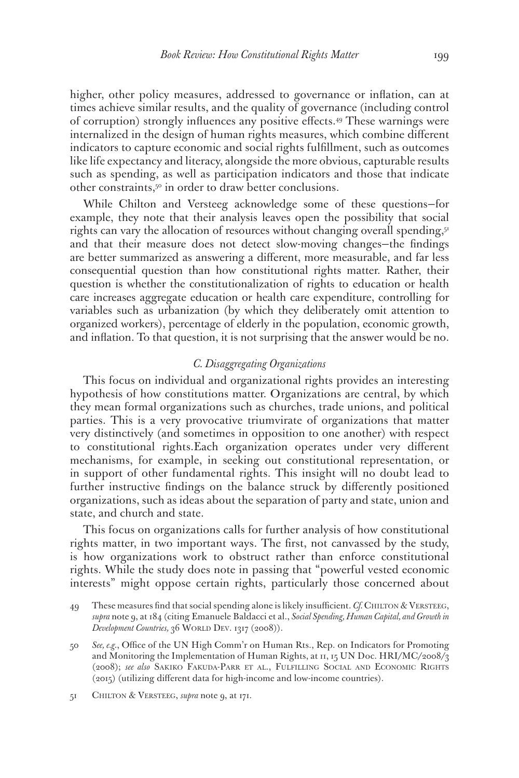higher, other policy measures, addressed to governance or inflation, can at times achieve similar results, and the quality of governance (including control of corruption) strongly influences any positive effects.49 These warnings were internalized in the design of human rights measures, which combine different indicators to capture economic and social rights fulfillment, such as outcomes like life expectancy and literacy, alongside the more obvious, capturable results such as spending, as well as participation indicators and those that indicate other constraints,50 in order to draw better conclusions.

While Chilton and Versteeg acknowledge some of these questions—for example, they note that their analysis leaves open the possibility that social rights can vary the allocation of resources without changing overall spending,  $5<sup>T</sup>$ and that their measure does not detect slow-moving changes—the findings are better summarized as answering a different, more measurable, and far less consequential question than how constitutional rights matter. Rather, their question is whether the constitutionalization of rights to education or health care increases aggregate education or health care expenditure, controlling for variables such as urbanization (by which they deliberately omit attention to organized workers), percentage of elderly in the population, economic growth, and inflation. To that question, it is not surprising that the answer would be no.

### *C. Disaggregating Organizations*

This focus on individual and organizational rights provides an interesting hypothesis of how constitutions matter. Organizations are central, by which they mean formal organizations such as churches, trade unions, and political parties. This is a very provocative triumvirate of organizations that matter very distinctively (and sometimes in opposition to one another) with respect to constitutional rights.Each organization operates under very different mechanisms, for example, in seeking out constitutional representation, or in support of other fundamental rights. This insight will no doubt lead to further instructive findings on the balance struck by differently positioned organizations, such as ideas about the separation of party and state, union and state, and church and state.

This focus on organizations calls for further analysis of how constitutional rights matter, in two important ways. The first, not canvassed by the study, is how organizations work to obstruct rather than enforce constitutional rights. While the study does note in passing that "powerful vested economic interests" might oppose certain rights, particularly those concerned about

<sup>49</sup> These measures find that social spending alone is likely insufficient. *Cf.* Chilton & Versteeg, *supra* note 9, at 184 (citing Emanuele Baldacci et al., *Social Spending, Human Capital, and Growth in Development Countries,* 36 WORLD DEV. 1317 (2008)).

<sup>50</sup> *See, e.g.*, Office of the UN High Comm'r on Human Rts., Rep. on Indicators for Promoting and Monitoring the Implementation of Human Rights, at  $11$ ,  $15$  UN Doc. HRI/MC/2008/3 (2008); *see also* Sakiko Fakuda-Parr et al., Fulfilling Social and Economic Rights (2015) (utilizing different data for high-income and low-income countries).

<sup>51</sup> Chilton & Versteeg, *supra* note 9, at 171.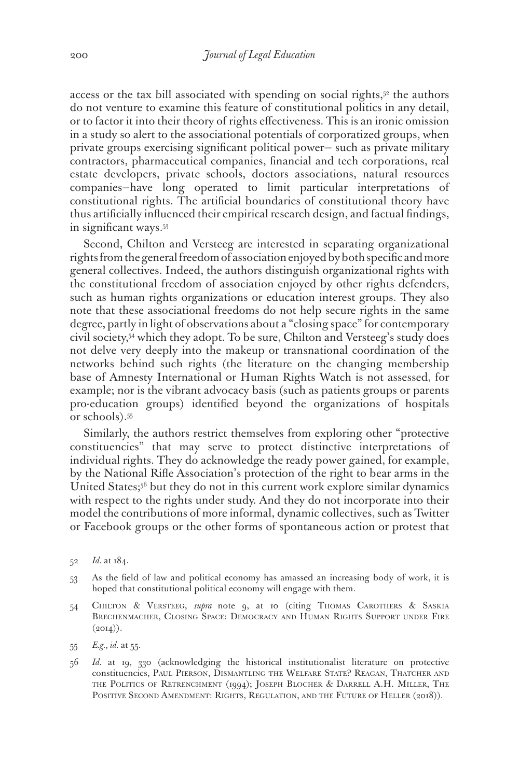access or the tax bill associated with spending on social rights, $5<sup>2</sup>$  the authors do not venture to examine this feature of constitutional politics in any detail, or to factor it into their theory of rights effectiveness. This is an ironic omission in a study so alert to the associational potentials of corporatized groups, when private groups exercising significant political power— such as private military contractors, pharmaceutical companies, financial and tech corporations, real estate developers, private schools, doctors associations, natural resources companies—have long operated to limit particular interpretations of constitutional rights. The artificial boundaries of constitutional theory have thus artificially influenced their empirical research design, and factual findings, in significant ways.53

Second, Chilton and Versteeg are interested in separating organizational rights from the general freedom of association enjoyed by both specific and more general collectives. Indeed, the authors distinguish organizational rights with the constitutional freedom of association enjoyed by other rights defenders, such as human rights organizations or education interest groups. They also note that these associational freedoms do not help secure rights in the same degree, partly in light of observations about a "closing space" for contemporary civil society,54 which they adopt. To be sure, Chilton and Versteeg's study does not delve very deeply into the makeup or transnational coordination of the networks behind such rights (the literature on the changing membership base of Amnesty International or Human Rights Watch is not assessed, for example; nor is the vibrant advocacy basis (such as patients groups or parents pro-education groups) identified beyond the organizations of hospitals or schools).55

Similarly, the authors restrict themselves from exploring other "protective constituencies" that may serve to protect distinctive interpretations of individual rights. They do acknowledge the ready power gained, for example, by the National Rifle Association's protection of the right to bear arms in the United States;56 but they do not in this current work explore similar dynamics with respect to the rights under study. And they do not incorporate into their model the contributions of more informal, dynamic collectives, such as Twitter or Facebook groups or the other forms of spontaneous action or protest that

- 53 As the field of law and political economy has amassed an increasing body of work, it is hoped that constitutional political economy will engage with them.
- 54 Chilton & Versteeg, *supra* note 9, at 10 (citing Thomas Carothers & Saskia Brechenmacher, Closing Space: Democracy and Human Rights Support under Fire  $(2014)$ .

56 *Id.* at 19, 330 (acknowledging the historical institutionalist literature on protective constituencies, Paul Pierson, Dismantling the Welfare State? Reagan, Thatcher and the Politics of Retrenchment (1994); Joseph Blocher & Darrell A.H. Miller, The POSITIVE SECOND AMENDMENT: RIGHTS, REGULATION, AND THE FUTURE OF HELLER (2018)).

<sup>52</sup> *Id.* at 184.

<sup>55</sup> *E.g.*, *id.* at 55.